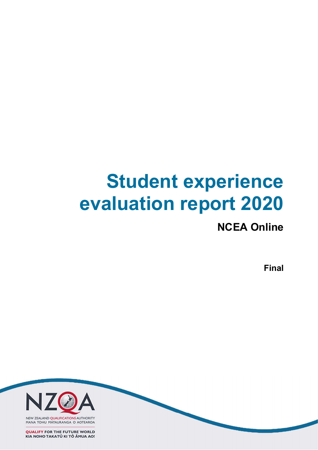# Student experience evaluation report 2020

# NCEA Online

Final

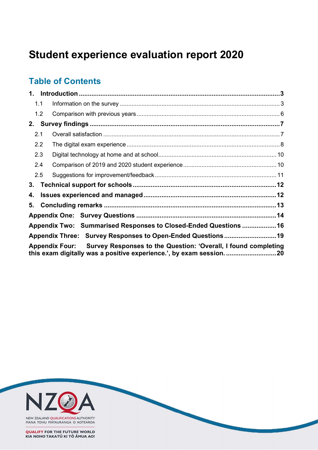# Student experience evaluation report 2020

# Table of Contents

|     | 1.1                                                                           |                                                                 |  |  |
|-----|-------------------------------------------------------------------------------|-----------------------------------------------------------------|--|--|
|     | 1.2                                                                           |                                                                 |  |  |
| 2.  |                                                                               |                                                                 |  |  |
| 2.1 |                                                                               |                                                                 |  |  |
|     | 2.2                                                                           |                                                                 |  |  |
|     | 2.3                                                                           |                                                                 |  |  |
| 2.4 |                                                                               |                                                                 |  |  |
|     | 2.5                                                                           |                                                                 |  |  |
| 3.  |                                                                               |                                                                 |  |  |
| 4.  |                                                                               |                                                                 |  |  |
| 5.  |                                                                               |                                                                 |  |  |
|     |                                                                               |                                                                 |  |  |
|     |                                                                               | Appendix Two: Summarised Responses to Closed-Ended Questions 16 |  |  |
|     |                                                                               | Appendix Three: Survey Responses to Open-Ended Questions 19     |  |  |
|     | Appendix Four: Survey Responses to the Question: 'Overall, I found completing |                                                                 |  |  |

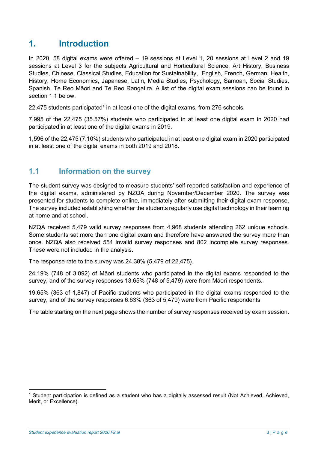# 1. Introduction

In 2020, 58 digital exams were offered – 19 sessions at Level 1, 20 sessions at Level 2 and 19 sessions at Level 3 for the subjects Agricultural and Horticultural Science, Art History, Business Studies, Chinese, Classical Studies, Education for Sustainability, English, French, German, Health, History, Home Economics, Japanese, Latin, Media Studies, Psychology, Samoan, Social Studies, Spanish, Te Reo Māori and Te Reo Rangatira. A list of the digital exam sessions can be found in section 1.1 below.

 $22,475$  students participated<sup>1</sup> in at least one of the digital exams, from 276 schools.

7,995 of the 22,475 (35.57%) students who participated in at least one digital exam in 2020 had participated in at least one of the digital exams in 2019.

1,596 of the 22,475 (7.10%) students who participated in at least one digital exam in 2020 participated in at least one of the digital exams in both 2019 and 2018.

### 1.1 Information on the survey

The student survey was designed to measure students' self-reported satisfaction and experience of the digital exams, administered by NZQA during November/December 2020. The survey was presented for students to complete online, immediately after submitting their digital exam response. The survey included establishing whether the students regularly use digital technology in their learning at home and at school.

NZQA received 5,479 valid survey responses from 4,968 students attending 262 unique schools. Some students sat more than one digital exam and therefore have answered the survey more than once. NZQA also received 554 invalid survey responses and 802 incomplete survey responses. These were not included in the analysis.

The response rate to the survey was 24.38% (5,479 of 22,475).

24.19% (748 of 3,092) of Māori students who participated in the digital exams responded to the survey, and of the survey responses 13.65% (748 of 5,479) were from Māori respondents.

19.65% (363 of 1,847) of Pacific students who participated in the digital exams responded to the survey, and of the survey responses 6.63% (363 of 5,479) were from Pacific respondents.

The table starting on the next page shows the number of survey responses received by exam session.

<sup>1</sup> Student participation is defined as a student who has a digitally assessed result (Not Achieved, Achieved, Merit, or Excellence).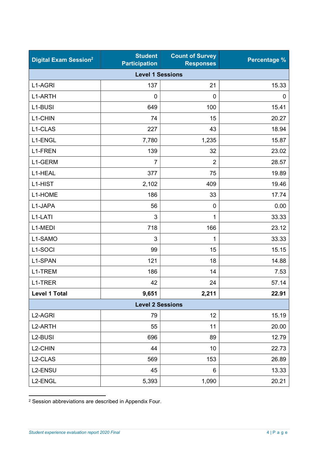| <b>Digital Exam Session<sup>2</sup></b> | <b>Student</b><br><b>Participation</b> | <b>Count of Survey</b><br><b>Responses</b> | <b>Percentage %</b> |  |  |  |
|-----------------------------------------|----------------------------------------|--------------------------------------------|---------------------|--|--|--|
| <b>Level 1 Sessions</b>                 |                                        |                                            |                     |  |  |  |
| L1-AGRI                                 | 137                                    | 21                                         | 15.33               |  |  |  |
| L1-ARTH                                 | 0                                      | $\mathbf 0$                                | 0                   |  |  |  |
| L1-BUSI                                 | 649                                    | 100                                        | 15.41               |  |  |  |
| L1-CHIN                                 | 74                                     | 15                                         | 20.27               |  |  |  |
| L1-CLAS                                 | 227                                    | 43                                         | 18.94               |  |  |  |
| L1-ENGL                                 | 7,780                                  | 1,235                                      | 15.87               |  |  |  |
| L1-FREN                                 | 139                                    | 32                                         | 23.02               |  |  |  |
| L1-GERM                                 | $\overline{7}$                         | $\overline{2}$                             | 28.57               |  |  |  |
| L1-HEAL                                 | 377                                    | 75                                         | 19.89               |  |  |  |
| L1-HIST                                 | 2,102                                  | 409                                        | 19.46               |  |  |  |
| L1-HOME                                 | 186                                    | 33                                         | 17.74               |  |  |  |
| L1-JAPA                                 | 56                                     | $\mathbf 0$                                | 0.00                |  |  |  |
| L1-LATI                                 | 3                                      | 1                                          | 33.33               |  |  |  |
| L1-MEDI                                 | 718                                    | 166                                        | 23.12               |  |  |  |
| L1-SAMO                                 | 3                                      | 1                                          | 33.33               |  |  |  |
| L1-SOCI                                 | 99                                     | 15                                         | 15.15               |  |  |  |
| L1-SPAN                                 | 121                                    | 18                                         | 14.88               |  |  |  |
| L1-TREM                                 | 186                                    | 14                                         | 7.53                |  |  |  |
| L1-TRER                                 | 42                                     | 24                                         | 57.14               |  |  |  |
| <b>Level 1 Total</b>                    | 9,651                                  | 2,211                                      | 22.91               |  |  |  |
|                                         | <b>Level 2 Sessions</b>                |                                            |                     |  |  |  |
| L <sub>2</sub> -AGRI                    | 79                                     | 12                                         | 15.19               |  |  |  |
| L2-ARTH                                 | 55                                     | 11                                         | 20.00               |  |  |  |
| L2-BUSI                                 | 696                                    | 89                                         | 12.79               |  |  |  |
| L2-CHIN                                 | 44                                     | 10                                         | 22.73               |  |  |  |
| L2-CLAS                                 | 569                                    | 153                                        | 26.89               |  |  |  |
| L2-ENSU                                 | 45                                     | 6                                          | 13.33               |  |  |  |
| L2-ENGL                                 | 5,393                                  | 1,090                                      | 20.21               |  |  |  |

2 Session abbreviations are described in Appendix Four.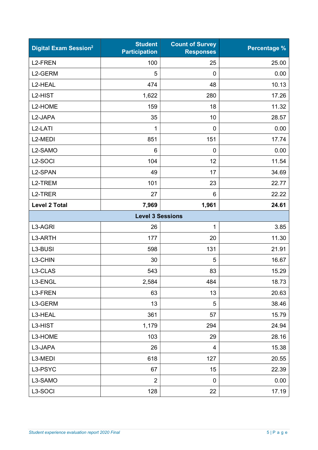| <b>Digital Exam Session<sup>2</sup></b> | <b>Student</b><br><b>Participation</b> | <b>Count of Survey</b><br><b>Responses</b> | <b>Percentage %</b> |
|-----------------------------------------|----------------------------------------|--------------------------------------------|---------------------|
| <b>L2-FREN</b>                          | 100                                    | 25                                         | 25.00               |
| L2-GERM                                 | 5                                      | $\mathbf 0$                                | 0.00                |
| L2-HEAL                                 | 474                                    | 48                                         | 10.13               |
| L2-HIST                                 | 1,622                                  | 280                                        | 17.26               |
| L2-HOME                                 | 159                                    | 18                                         | 11.32               |
| L2-JAPA                                 | 35                                     | 10                                         | 28.57               |
| L <sub>2</sub> -LATI                    | 1                                      | $\mathbf 0$                                | 0.00                |
| L <sub>2</sub> -MEDI                    | 851                                    | 151                                        | 17.74               |
| L2-SAMO                                 | 6                                      | $\mathbf 0$                                | 0.00                |
| L <sub>2</sub> -SOCI                    | 104                                    | 12                                         | 11.54               |
| L2-SPAN                                 | 49                                     | 17                                         | 34.69               |
| L2-TREM                                 | 101                                    | 23                                         | 22.77               |
| L <sub>2</sub> -TRER                    | 27                                     | $6\phantom{1}6$                            | 22.22               |
| <b>Level 2 Total</b>                    | 7,969                                  | 1,961                                      | 24.61               |
|                                         | <b>Level 3 Sessions</b>                |                                            |                     |
| L3-AGRI                                 | 26                                     | 1                                          | 3.85                |
| L3-ARTH                                 | 177                                    | 20                                         | 11.30               |
| L3-BUSI                                 | 598                                    | 131                                        | 21.91               |
| L3-CHIN                                 | 30                                     | 5                                          | 16.67               |
| L3-CLAS                                 | 543                                    | 83                                         | 15.29               |
| L3-ENGL                                 | 2,584                                  | 484                                        | 18.73               |
| L3-FREN                                 | 63                                     | 13                                         | 20.63               |
| L3-GERM                                 | 13                                     | 5                                          | 38.46               |
| L3-HEAL                                 | 361                                    | 57                                         | 15.79               |
| L3-HIST                                 | 1,179                                  | 294                                        | 24.94               |
| L3-HOME                                 | 103                                    | 29                                         | 28.16               |
| L3-JAPA                                 | 26                                     | $\overline{4}$                             | 15.38               |
| L3-MEDI                                 | 618                                    | 127                                        | 20.55               |
| L3-PSYC                                 | 67                                     | 15                                         | 22.39               |
| L3-SAMO                                 | $\overline{2}$                         | $\pmb{0}$                                  | 0.00                |
| L3-SOCI                                 | 128                                    | 22                                         | 17.19               |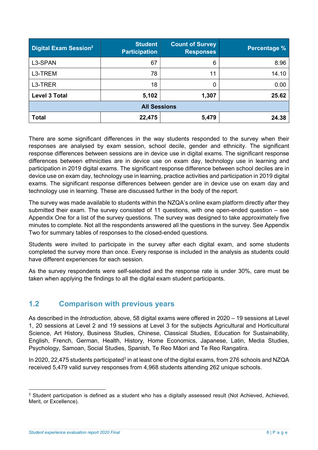| <b>Digital Exam Session<sup>2</sup></b> | <b>Student</b><br><b>Participation</b> | <b>Count of Survey</b><br><b>Responses</b> | <b>Percentage %</b> |
|-----------------------------------------|----------------------------------------|--------------------------------------------|---------------------|
| L3-SPAN                                 | 67                                     | 6                                          | 8.96                |
| L3-TREM                                 | 78                                     | 11                                         | 14.10               |
| L3-TRER                                 | 18                                     |                                            | 0.00                |
| <b>Level 3 Total</b>                    | 5,102                                  | 1,307                                      | 25.62               |
| <b>All Sessions</b>                     |                                        |                                            |                     |
| <b>Total</b>                            | 22,475                                 | 5,479                                      | 24.38               |

There are some significant differences in the way students responded to the survey when their responses are analysed by exam session, school decile, gender and ethnicity. The significant response differences between sessions are in device use in digital exams. The significant response differences between ethnicities are in device use on exam day, technology use in learning and participation in 2019 digital exams. The significant response difference between school deciles are in device use on exam day, technology use in learning, practice activities and participation in 2019 digital exams. The significant response differences between gender are in device use on exam day and technology use in learning. These are discussed further in the body of the report.

The survey was made available to students within the NZQA's online exam platform directly after they submitted their exam. The survey consisted of 11 questions, with one open-ended question – see Appendix One for a list of the survey questions. The survey was designed to take approximately five minutes to complete. Not all the respondents answered all the questions in the survey. See Appendix Two for summary tables of responses to the closed-ended questions.

Students were invited to participate in the survey after each digital exam, and some students completed the survey more than once. Every response is included in the analysis as students could have different experiences for each session.

As the survey respondents were self-selected and the response rate is under 30%, care must be taken when applying the findings to all the digital exam student participants.

# 1.2 Comparison with previous years

As described in the Introduction, above, 58 digital exams were offered in 2020 – 19 sessions at Level 1, 20 sessions at Level 2 and 19 sessions at Level 3 for the subjects Agricultural and Horticultural Science, Art History, Business Studies, Chinese, Classical Studies, Education for Sustainability, English, French, German, Health, History, Home Economics, Japanese, Latin, Media Studies, Psychology, Samoan, Social Studies, Spanish, Te Reo Māori and Te Reo Rangatira.

In 2020, 22,475 students participated<sup>3</sup> in at least one of the digital exams, from 276 schools and NZQA received 5,479 valid survey responses from 4,968 students attending 262 unique schools.

<sup>&</sup>lt;sup>3</sup> Student participation is defined as a student who has a digitally assessed result (Not Achieved, Achieved, Merit, or Excellence).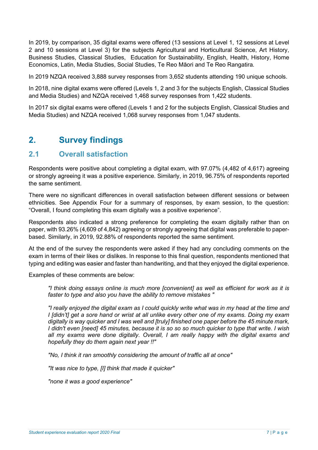In 2019, by comparison, 35 digital exams were offered (13 sessions at Level 1, 12 sessions at Level 2 and 10 sessions at Level 3) for the subjects Agricultural and Horticultural Science, Art History, Business Studies, Classical Studies, Education for Sustainability, English, Health, History, Home Economics, Latin, Media Studies, Social Studies, Te Reo Māori and Te Reo Rangatira.

In 2019 NZQA received 3,888 survey responses from 3,652 students attending 190 unique schools.

In 2018, nine digital exams were offered (Levels 1, 2 and 3 for the subjects English, Classical Studies and Media Studies) and NZQA received 1,468 survey responses from 1,422 students.

In 2017 six digital exams were offered (Levels 1 and 2 for the subjects English, Classical Studies and Media Studies) and NZQA received 1,068 survey responses from 1,047 students.

# 2. Survey findings

### 2.1 Overall satisfaction

Respondents were positive about completing a digital exam, with 97.07% (4,482 of 4,617) agreeing or strongly agreeing it was a positive experience. Similarly, in 2019, 96.75% of respondents reported the same sentiment.

There were no significant differences in overall satisfaction between different sessions or between ethnicities. See Appendix Four for a summary of responses, by exam session, to the question: "Overall, I found completing this exam digitally was a positive experience".

Respondents also indicated a strong preference for completing the exam digitally rather than on paper, with 93.26% (4,609 of 4,842) agreeing or strongly agreeing that digital was preferable to paperbased. Similarly, in 2019, 92.88% of respondents reported the same sentiment.

At the end of the survey the respondents were asked if they had any concluding comments on the exam in terms of their likes or dislikes. In response to this final question, respondents mentioned that typing and editing was easier and faster than handwriting, and that they enjoyed the digital experience.

Examples of these comments are below:

"I think doing essays online is much more [convenient] as well as efficient for work as it is faster to type and also you have the ability to remove mistakes "

"I really enjoyed the digital exam as I could quickly write what was in my head at the time and I *[didn't]* get a sore hand or wrist at all unlike every other one of my exams. Doing my exam digitally is way quicker and I was well and [truly] finished one paper before the 45 minute mark, I didn't even [need] 45 minutes, because it is so so so much quicker to type that write. I wish all my exams were done digitally. Overall, I am really happy with the digital exams and hopefully they do them again next year !!"

"No, I think it ran smoothly considering the amount of traffic all at once"

"It was nice to type, [I] think that made it quicker"

"none it was a good experience"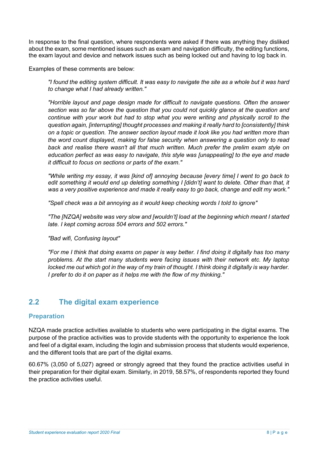In response to the final question, where respondents were asked if there was anything they disliked about the exam, some mentioned issues such as exam and navigation difficulty, the editing functions, the exam layout and device and network issues such as being locked out and having to log back in.

Examples of these comments are below:

"I found the editing system difficult. It was easy to navigate the site as a whole but it was hard to change what I had already written."

"Horrible layout and page design made for difficult to navigate questions. Often the answer section was so far above the question that you could not quickly glance at the question and continue with your work but had to stop what you were writing and physically scroll to the question again, [interrupting] thought processes and making it really hard to [consistently] think on a topic or question. The answer section layout made it look like you had written more than the word count displayed, making for false security when answering a question only to read back and realise there wasn't all that much written. Much prefer the prelim exam style on education perfect as was easy to navigate, this style was [unappealing] to the eye and made it difficult to focus on sections or parts of the exam."

"While writing my essay, it was [kind of] annoying because [every time] I went to go back to edit something it would end up deleting something I [didn't] want to delete. Other than that, it was a very positive experience and made it really easy to go back, change and edit my work."

"Spell check was a bit annoying as it would keep checking words I told to ignore"

"The [NZQA] website was very slow and [wouldn't] load at the beginning which meant I started late. I kept coming across 504 errors and 502 errors."

"Bad wifi, Confusing layout"

"For me I think that doing exams on paper is way better. I find doing it digitally has too many problems. At the start many students were facing issues with their network etc. My laptop locked me out which got in the way of my train of thought. I think doing it digitally is way harder. I prefer to do it on paper as it helps me with the flow of my thinking."

# 2.2 The digital exam experience

#### Preparation

NZQA made practice activities available to students who were participating in the digital exams. The purpose of the practice activities was to provide students with the opportunity to experience the look and feel of a digital exam, including the login and submission process that students would experience, and the different tools that are part of the digital exams.

60.67% (3,050 of 5,027) agreed or strongly agreed that they found the practice activities useful in their preparation for their digital exam. Similarly, in 2019, 58.57%, of respondents reported they found the practice activities useful.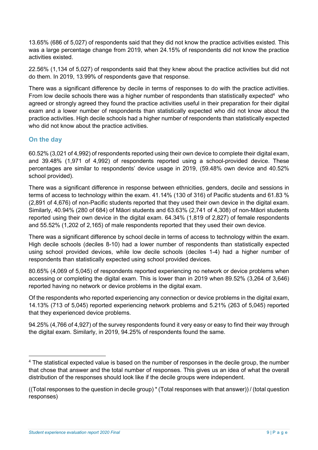13.65% (686 of 5,027) of respondents said that they did not know the practice activities existed. This was a large percentage change from 2019, when 24.15% of respondents did not know the practice activities existed.

22.56% (1,134 of 5,027) of respondents said that they knew about the practice activities but did not do them. In 2019, 13.99% of respondents gave that response.

There was a significant difference by decile in terms of responses to do with the practice activities. From low decile schools there was a higher number of respondents than statistically expected $4$  who agreed or strongly agreed they found the practice activities useful in their preparation for their digital exam and a lower number of respondents than statistically expected who did not know about the practice activities. High decile schools had a higher number of respondents than statistically expected who did not know about the practice activities.

#### On the day

60.52% (3,021 of 4,992) of respondents reported using their own device to complete their digital exam, and 39.48% (1,971 of 4,992) of respondents reported using a school-provided device. These percentages are similar to respondents' device usage in 2019, (59.48% own device and 40.52% school provided).

There was a significant difference in response between ethnicities, genders, decile and sessions in terms of access to technology within the exam. 41.14% (130 of 316) of Pacific students and 61.83 % (2,891 of 4,676) of non-Pacific students reported that they used their own device in the digital exam. Similarly, 40.94% (280 of 684) of Māori students and 63.63% (2,741 of 4,308) of non-Māori students reported using their own device in the digital exam. 64.34% (1,819 of 2,827) of female respondents and 55.52% (1,202 of 2,165) of male respondents reported that they used their own device.

There was a significant difference by school decile in terms of access to technology within the exam. High decile schools (deciles 8-10) had a lower number of respondents than statistically expected using school provided devices, while low decile schools (deciles 1-4) had a higher number of respondents than statistically expected using school provided devices.

80.65% (4,069 of 5,045) of respondents reported experiencing no network or device problems when accessing or completing the digital exam. This is lower than in 2019 when 89.52% (3,264 of 3,646) reported having no network or device problems in the digital exam.

Of the respondents who reported experiencing any connection or device problems in the digital exam, 14.13% (713 of 5,045) reported experiencing network problems and 5.21% (263 of 5,045) reported that they experienced device problems.

94.25% (4,766 of 4,927) of the survey respondents found it very easy or easy to find their way through the digital exam. Similarly, in 2019, 94.25% of respondents found the same.

<sup>&</sup>lt;sup>4</sup> The statistical expected value is based on the number of responses in the decile group, the number that chose that answer and the total number of responses. This gives us an idea of what the overall distribution of the responses should look like if the decile groups were independent.

<sup>((</sup>Total responses to the question in decile group) \* (Total responses with that answer)) / (total question responses)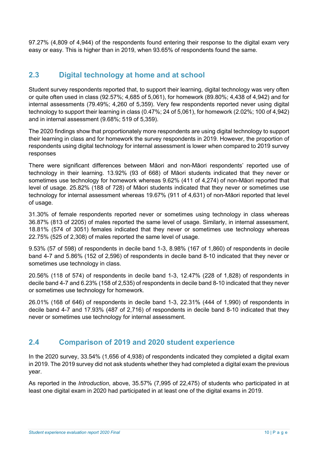97.27% (4,809 of 4,944) of the respondents found entering their response to the digital exam very easy or easy. This is higher than in 2019, when 93.65% of respondents found the same.

### 2.3 Digital technology at home and at school

Student survey respondents reported that, to support their learning, digital technology was very often or quite often used in class (92.57%; 4,685 of 5,061), for homework (89.80%; 4,438 of 4,942) and for internal assessments (79.49%; 4,260 of 5,359). Very few respondents reported never using digital technology to support their learning in class (0.47%; 24 of 5,061), for homework (2.02%; 100 of 4,942) and in internal assessment (9.68%; 519 of 5,359).

The 2020 findings show that proportionately more respondents are using digital technology to support their learning in class and for homework the survey respondents in 2019. However, the proportion of respondents using digital technology for internal assessment is lower when compared to 2019 survey responses

There were significant differences between Māori and non-Māori respondents' reported use of technology in their learning. 13.92% (93 of 668) of Māori students indicated that they never or sometimes use technology for homework whereas 9.62% (411 of 4,274) of non-Māori reported that level of usage. 25.82% (188 of 728) of Māori students indicated that they never or sometimes use technology for internal assessment whereas 19.67% (911 of 4,631) of non-Māori reported that level of usage.

31.30% of female respondents reported never or sometimes using technology in class whereas 36.87% (813 of 2205) of males reported the same level of usage. Similarly, in internal assessment, 18.81% (574 of 3051) females indicated that they never or sometimes use technology whereas 22.75% (525 of 2,308) of males reported the same level of usage.

9.53% (57 of 598) of respondents in decile band 1-3, 8.98% (167 of 1,860) of respondents in decile band 4-7 and 5.86% (152 of 2,596) of respondents in decile band 8-10 indicated that they never or sometimes use technology in class.

20.56% (118 of 574) of respondents in decile band 1-3, 12.47% (228 of 1,828) of respondents in decile band 4-7 and 6.23% (158 of 2,535) of respondents in decile band 8-10 indicated that they never or sometimes use technology for homework.

26.01% (168 of 646) of respondents in decile band 1-3, 22.31% (444 of 1,990) of respondents in decile band 4-7 and 17.93% (487 of 2,716) of respondents in decile band 8-10 indicated that they never or sometimes use technology for internal assessment.

# 2.4 Comparison of 2019 and 2020 student experience

In the 2020 survey, 33.54% (1,656 of 4,938) of respondents indicated they completed a digital exam in 2019. The 2019 survey did not ask students whether they had completed a digital exam the previous year.

As reported in the Introduction, above, 35.57% (7,995 of 22,475) of students who participated in at least one digital exam in 2020 had participated in at least one of the digital exams in 2019.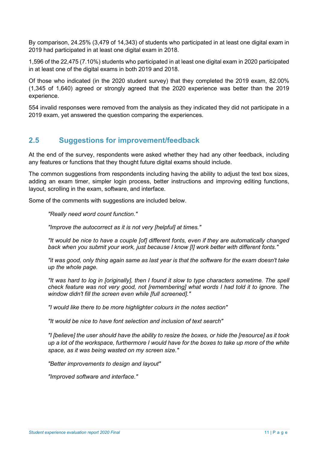By comparison, 24.25% (3,479 of 14,343) of students who participated in at least one digital exam in 2019 had participated in at least one digital exam in 2018.

1,596 of the 22,475 (7.10%) students who participated in at least one digital exam in 2020 participated in at least one of the digital exams in both 2019 and 2018.

Of those who indicated (in the 2020 student survey) that they completed the 2019 exam, 82.00% (1,345 of 1,640) agreed or strongly agreed that the 2020 experience was better than the 2019 experience.

554 invalid responses were removed from the analysis as they indicated they did not participate in a 2019 exam, yet answered the question comparing the experiences.

# 2.5 Suggestions for improvement/feedback

At the end of the survey, respondents were asked whether they had any other feedback, including any features or functions that they thought future digital exams should include.

The common suggestions from respondents including having the ability to adjust the text box sizes, adding an exam timer, simpler login process, better instructions and improving editing functions, layout, scrolling in the exam, software, and interface.

Some of the comments with suggestions are included below.

"Really need word count function."

"Improve the autocorrect as it is not very [helpful] at times."

"It would be nice to have a couple [of] different fonts, even if they are automatically changed back when you submit your work, just because I know [I] work better with different fonts."

"it was good, only thing again same as last year is that the software for the exam doesn't take up the whole page.

"It was hard to log in [originally], then I found it slow to type characters sometime. The spell check feature was not very good, not [remembering] what words I had told it to ignore. The window didn't fill the screen even while [full screened]."

"I would like there to be more highlighter colours in the notes section"

"It would be nice to have font selection and inclusion of text search"

"I [believe] the user should have the ability to resize the boxes, or hide the [resource] as it took up a lot of the workspace, furthermore I would have for the boxes to take up more of the white space, as it was being wasted on my screen size."

"Better improvements to design and layout"

"Improved software and interface."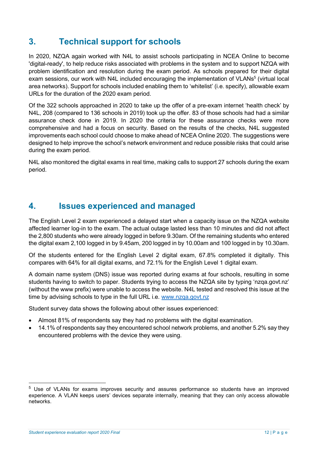# 3. Technical support for schools

In 2020, NZQA again worked with N4L to assist schools participating in NCEA Online to become 'digital-ready', to help reduce risks associated with problems in the system and to support NZQA with problem identification and resolution during the exam period. As schools prepared for their digital exam sessions, our work with N4L included encouraging the implementation of VLANs<sup>5</sup> (virtual local area networks). Support for schools included enabling them to 'whitelist' (i.e. specify), allowable exam URLs for the duration of the 2020 exam period.

Of the 322 schools approached in 2020 to take up the offer of a pre-exam internet 'health check' by N4L, 208 (compared to 136 schools in 2019) took up the offer. 83 of those schools had had a similar assurance check done in 2019. In 2020 the criteria for these assurance checks were more comprehensive and had a focus on security. Based on the results of the checks, N4L suggested improvements each school could choose to make ahead of NCEA Online 2020. The suggestions were designed to help improve the school's network environment and reduce possible risks that could arise during the exam period.

N4L also monitored the digital exams in real time, making calls to support 27 schools during the exam period.

# 4. Issues experienced and managed

The English Level 2 exam experienced a delayed start when a capacity issue on the NZQA website affected learner log-in to the exam. The actual outage lasted less than 10 minutes and did not affect the 2,800 students who were already logged in before 9.30am. Of the remaining students who entered the digital exam 2,100 logged in by 9.45am, 200 logged in by 10.00am and 100 logged in by 10.30am.

Of the students entered for the English Level 2 digital exam, 67.8% completed it digitally. This compares with 64% for all digital exams, and 72.1% for the English Level 1 digital exam.

A domain name system (DNS) issue was reported during exams at four schools, resulting in some students having to switch to paper. Students trying to access the NZQA site by typing 'nzqa.govt.nz' (without the www prefix) were unable to access the website. N4L tested and resolved this issue at the time by advising schools to type in the full URL i.e. www.nzqa.govt.nz

Student survey data shows the following about other issues experienced:

- Almost 81% of respondents say they had no problems with the digital examination.
- 14.1% of respondents say they encountered school network problems, and another 5.2% say they encountered problems with the device they were using.

<sup>&</sup>lt;sup>5</sup> Use of VLANs for exams improves security and assures performance so students have an improved experience. A VLAN keeps users' devices separate internally, meaning that they can only access allowable networks.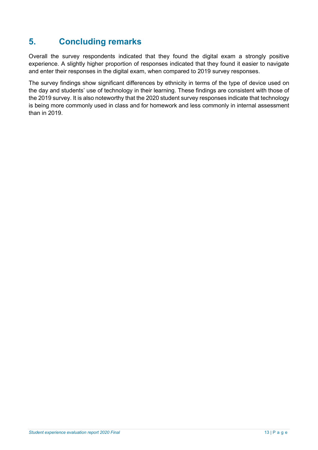# 5. Concluding remarks

Overall the survey respondents indicated that they found the digital exam a strongly positive experience. A slightly higher proportion of responses indicated that they found it easier to navigate and enter their responses in the digital exam, when compared to 2019 survey responses.

The survey findings show significant differences by ethnicity in terms of the type of device used on the day and students' use of technology in their learning. These findings are consistent with those of the 2019 survey. It is also noteworthy that the 2020 student survey responses indicate that technology is being more commonly used in class and for homework and less commonly in internal assessment than in 2019.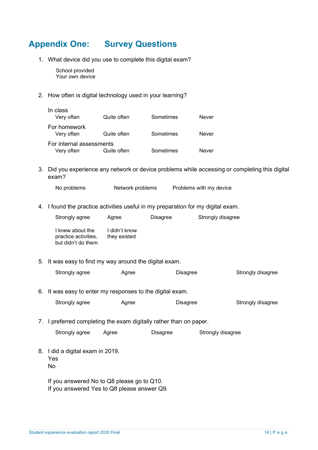# Appendix One: Survey Questions

1. What device did you use to complete this digital exam?

School provided Your own device

2. How often is digital technology used in your learning?

| In class<br>Very often                 | Quite often | Sometimes | Never        |
|----------------------------------------|-------------|-----------|--------------|
| For homework<br>Very often             | Quite often | Sometimes | <b>Never</b> |
| For internal assessments<br>Very often | Quite often | Sometimes | Never        |

3. Did you experience any network or device problems while accessing or completing this digital exam?

No problems Metwork problems Problems with my device

4. I found the practice activities useful in my preparation for my digital exam.

|    | Strongly agree                                                     | Agree                         | Disagree        | Strongly disagree |                   |
|----|--------------------------------------------------------------------|-------------------------------|-----------------|-------------------|-------------------|
|    | I knew about the<br>practice activities,<br>but didn't do them     | I didn't know<br>they existed |                 |                   |                   |
| 5. | It was easy to find my way around the digital exam.                |                               |                 |                   |                   |
|    | Strongly agree                                                     | Agree                         | <b>Disagree</b> |                   | Strongly disagree |
|    | 6. It was easy to enter my responses to the digital exam.          |                               |                 |                   |                   |
|    | Strongly agree                                                     | Agree                         | <b>Disagree</b> |                   | Strongly disagree |
|    | 7. I preferred completing the exam digitally rather than on paper. |                               |                 |                   |                   |
|    | Strongly agree                                                     | Agree                         | Disagree        | Strongly disagree |                   |
|    | 8. I did a digital exam in 2019.<br>Yes<br>No                      |                               |                 |                   |                   |
|    | If you answered No to Q8 please go to Q10.                         |                               |                 |                   |                   |

If you answered Yes to Q8 please answer Q9.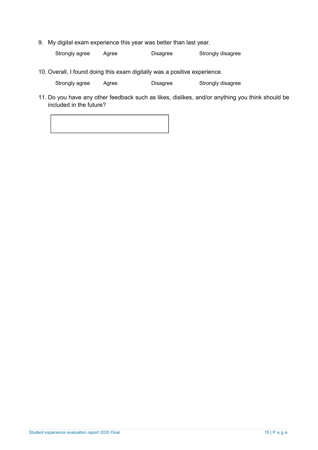9. My digital exam experience this year was better than last year.

Strongly agree Agree Disagree Strongly disagree

10. Overall, I found doing this exam digitally was a positive experience.

Strongly agree Agree Disagree Strongly disagree

11. Do you have any other feedback such as likes, dislikes, and/or anything you think should be included in the future?

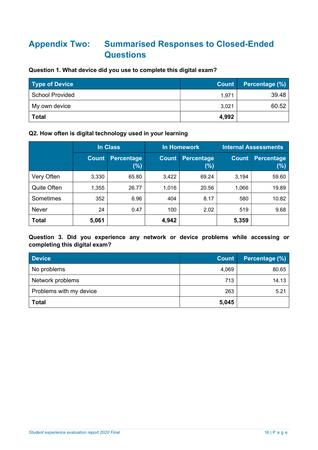# Appendix Two: Summarised Responses to Closed-Ended **Questions**

#### Question 1. What device did you use to complete this digital exam?

| <b>Type of Device</b>  | Count | Percentage (%) |
|------------------------|-------|----------------|
| <b>School Provided</b> | 1,971 | 39.48          |
| My own device          | 3,021 | 60.52          |
| <b>Total</b>           | 4,992 |                |

# Q2. How often is digital technology used in your learning

|              | In Class     |                             | <b>In Homework</b> |                          | <b>Internal Assessments</b> |                          |
|--------------|--------------|-----------------------------|--------------------|--------------------------|-----------------------------|--------------------------|
|              | <b>Count</b> | <b>Percentage</b><br>$(\%)$ | <b>Count</b>       | <b>Percentage</b><br>(%) | <b>Count</b>                | <b>Percentage</b><br>(%) |
| Very Often   | 3,330        | 65.80                       | 3,422              | 69.24                    | 3,194                       | 59.60                    |
| Quite Often  | 1,355        | 26.77                       | 1,016              | 20.56                    | 1,066                       | 19.89                    |
| Sometimes    | 352          | 6.96                        | 404                | 8.17                     | 580                         | 10.82                    |
| Never        | 24           | 0.47                        | 100                | 2.02                     | 519                         | 9.68                     |
| <b>Total</b> | 5,061        |                             | 4,942              |                          | 5,359                       |                          |

Question 3. Did you experience any network or device problems while accessing or completing this digital exam?

| <b>Device</b>           | <b>Count</b> | Percentage (%) |
|-------------------------|--------------|----------------|
| No problems             | 4,069        | 80.65          |
| Network problems        | 713          | 14.13          |
| Problems with my device | 263          | 5.21           |
| <b>Total</b>            | 5,045        |                |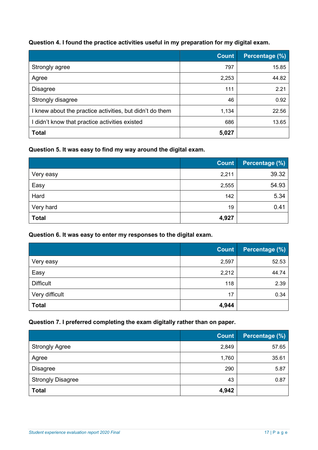### Question 4. I found the practice activities useful in my preparation for my digital exam.

|                                                          | <b>Count</b> | Percentage (%) |
|----------------------------------------------------------|--------------|----------------|
| Strongly agree                                           | 797          | 15.85          |
| Agree                                                    | 2,253        | 44.82          |
| <b>Disagree</b>                                          | 111          | 2.21           |
| Strongly disagree                                        | 46           | 0.92           |
| I knew about the practice activities, but didn't do them | 1,134        | 22.56          |
| I didn't know that practice activities existed           | 686          | 13.65          |
| <b>Total</b>                                             | 5,027        |                |

#### Question 5. It was easy to find my way around the digital exam.

|              | <b>Count</b> | Percentage (%) |
|--------------|--------------|----------------|
| Very easy    | 2,211        | 39.32          |
| Easy         | 2,555        | 54.93          |
| Hard         | 142          | 5.34           |
| Very hard    | 19           | 0.41           |
| <b>Total</b> | 4,927        |                |

#### Question 6. It was easy to enter my responses to the digital exam.

|                  | <b>Count</b> | <b>Percentage (%)</b> |
|------------------|--------------|-----------------------|
| Very easy        | 2,597        | 52.53                 |
| Easy             | 2,212        | 44.74                 |
| <b>Difficult</b> | 118          | 2.39                  |
| Very difficult   | 17           | 0.34                  |
| <b>Total</b>     | 4,944        |                       |

#### Question 7. I preferred completing the exam digitally rather than on paper.

|                          | <b>Count</b> | Percentage (%) |
|--------------------------|--------------|----------------|
| <b>Strongly Agree</b>    | 2,849        | 57.65          |
| Agree                    | 1,760        | 35.61          |
| <b>Disagree</b>          | 290          | 5.87           |
| <b>Strongly Disagree</b> | 43           | 0.87           |
| <b>Total</b>             | 4,942        |                |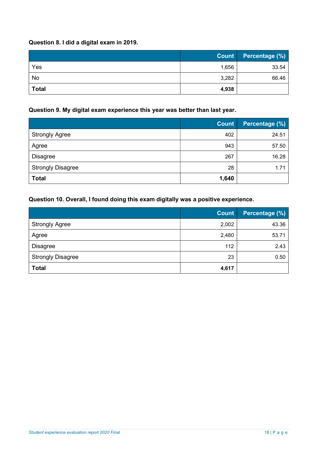### Question 8. I did a digital exam in 2019.

|              | <b>Count</b> | Percentage (%) |
|--------------|--------------|----------------|
| Yes          | 1,656        | 33.54          |
| No           | 3,282        | 66.46          |
| <b>Total</b> | 4,938        |                |

#### Question 9. My digital exam experience this year was better than last year.

|                          | <b>Count</b> | Percentage (%) |
|--------------------------|--------------|----------------|
| <b>Strongly Agree</b>    | 402          | 24.51          |
| Agree                    | 943          | 57.50          |
| <b>Disagree</b>          | 267          | 16.28          |
| <b>Strongly Disagree</b> | 28           | 1.71           |
| <b>Total</b>             | 1,640        |                |

### Question 10. Overall, I found doing this exam digitally was a positive experience.

|                          | <b>Count</b> | Percentage (%) |
|--------------------------|--------------|----------------|
| <b>Strongly Agree</b>    | 2,002        | 43.36          |
| Agree                    | 2,480        | 53.71          |
| <b>Disagree</b>          | 112          | 2.43           |
| <b>Strongly Disagree</b> | 23           | 0.50           |
| <b>Total</b>             | 4,617        |                |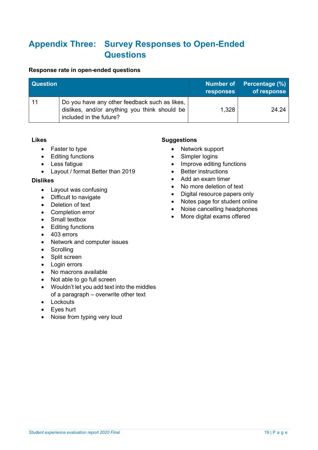# Appendix Three: Survey Responses to Open-Ended **Questions**

#### Response rate in open-ended questions

| <b>Question</b> |                                                                                                                           | Number of<br><b>responses</b> | Percentage (%)<br>of response |
|-----------------|---------------------------------------------------------------------------------------------------------------------------|-------------------------------|-------------------------------|
|                 | Do you have any other feedback such as likes,<br>dislikes, and/or anything you think should be<br>included in the future? | 1,328                         | 24 24                         |

#### Likes

- Faster to type
- Editing functions
- Less fatigue
- Layout / format Better than 2019

#### Dislikes

- Layout was confusing
- Difficult to navigate
- Deletion of text
- Completion error
- Small textbox
- Editing functions
- 403 errors
- Network and computer issues
- Scrolling
- Split screen
- Login errors
- No macrons available
- Not able to go full screen
- Wouldn't let you add text into the middles of a paragraph – overwrite other text
- Lockouts
- Eves hurt
- Noise from typing very loud

#### **Suggestions**

- Network support
- Simpler logins
- Improve editing functions
- Better instructions
- Add an exam timer
- No more deletion of text
- Digital resource papers only
- Notes page for student online
- Noise cancelling headphones
- More digital exams offered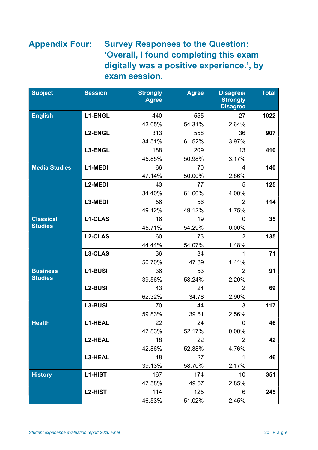# Appendix Four: Survey Responses to the Question: 'Overall, I found completing this exam digitally was a positive experience.', by exam session.

| <b>Subject</b>       | <b>Session</b> | <b>Strongly</b><br><b>Agree</b> | <b>Agree</b> | <b>Disagree/</b><br><b>Strongly</b><br><b>Disagree</b> | <b>Total</b> |
|----------------------|----------------|---------------------------------|--------------|--------------------------------------------------------|--------------|
| <b>English</b>       | <b>L1-ENGL</b> | 440                             | 555          | 27                                                     | 1022         |
|                      |                | 43.05%                          | 54.31%       | 2.64%                                                  |              |
|                      | <b>L2-ENGL</b> | 313                             | 558          | 36                                                     | 907          |
|                      |                | 34.51%                          | 61.52%       | 3.97%                                                  |              |
|                      | L3-ENGL        | 188                             | 209          | 13                                                     | 410          |
|                      |                | 45.85%                          | 50.98%       | 3.17%                                                  |              |
| <b>Media Studies</b> | <b>L1-MEDI</b> | 66                              | 70           | 4                                                      | 140          |
|                      |                | 47.14%                          | 50.00%       | 2.86%                                                  |              |
|                      | L2-MEDI        | 43                              | 77           | 5                                                      | 125          |
|                      |                | 34.40%                          | 61.60%       | 4.00%                                                  |              |
|                      | L3-MEDI        | 56                              | 56           | $\overline{2}$                                         | 114          |
|                      |                | 49.12%                          | 49.12%       | 1.75%                                                  |              |
| <b>Classical</b>     | <b>L1-CLAS</b> | 16                              | 19           | 0                                                      | 35           |
| <b>Studies</b>       |                | 45.71%                          | 54.29%       | 0.00%                                                  |              |
|                      | <b>L2-CLAS</b> | 60                              | 73           | $\overline{2}$                                         | 135          |
|                      |                | 44.44%                          | 54.07%       | 1.48%                                                  |              |
|                      | L3-CLAS        | 36                              | 34           | 1                                                      | 71           |
|                      |                | 50.70%                          | 47.89        | 1.41%                                                  |              |
| <b>Business</b>      | L1-BUSI        | 36                              | 53           | $\overline{2}$                                         | 91           |
| <b>Studies</b>       |                | 39.56%                          | 58.24%       | 2.20%                                                  |              |
|                      | <b>L2-BUSI</b> | 43                              | 24           | $\overline{2}$                                         | 69           |
|                      |                | 62.32%                          | 34.78        | 2.90%                                                  |              |
|                      | L3-BUSI        | 70                              | 44           | 3                                                      | 117          |
|                      |                | 59.83%                          | 39.61        | 2.56%                                                  |              |
| <b>Health</b>        | <b>L1-HEAL</b> | 22                              | 24           | 0                                                      | 46           |
|                      |                | 47.83%                          | 52.17%       | 0.00%                                                  |              |
|                      | <b>L2-HEAL</b> | 18                              | 22           | $\overline{2}$                                         | 42           |
|                      |                | 42.86%                          | 52.38%       | 4.76%                                                  |              |
|                      | L3-HEAL        | 18                              | 27           | 1                                                      | 46           |
|                      |                | 39.13%                          | 58.70%       | 2.17%                                                  |              |
| <b>History</b>       | <b>L1-HIST</b> | 167                             | 174          | 10                                                     | 351          |
|                      |                | 47.58%                          | 49.57        | 2.85%                                                  |              |
|                      | <b>L2-HIST</b> | 114                             | 125          | 6                                                      | 245          |
|                      |                | 46.53%                          | 51.02%       | 2.45%                                                  |              |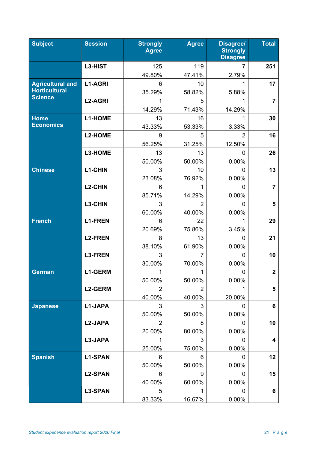| <b>Subject</b>          | <b>Session</b> | <b>Strongly</b><br><b>Agree</b> | <b>Agree</b>   | <b>Disagree/</b><br><b>Strongly</b><br><b>Disagree</b> | <b>Total</b>            |
|-------------------------|----------------|---------------------------------|----------------|--------------------------------------------------------|-------------------------|
|                         | L3-HIST        | 125                             | 119            | 7                                                      | 251                     |
|                         |                | 49.80%                          | 47.41%         | 2.79%                                                  |                         |
| <b>Agricultural and</b> | <b>L1-AGRI</b> | 6                               | 10             | 1                                                      | 17                      |
| <b>Horticultural</b>    |                | 35.29%                          | 58.82%         | 5.88%                                                  |                         |
| <b>Science</b>          | <b>L2-AGRI</b> | 1                               | 5              | 1                                                      | $\overline{7}$          |
|                         |                | 14.29%                          | 71.43%         | 14.29%                                                 |                         |
| <b>Home</b>             | <b>L1-HOME</b> | 13                              | 16             |                                                        | 30                      |
| <b>Economics</b>        |                | 43.33%                          | 53.33%         | 3.33%                                                  |                         |
|                         | <b>L2-HOME</b> | 9                               | 5              | $\overline{2}$                                         | 16                      |
|                         |                | 56.25%                          | 31.25%         | 12.50%                                                 |                         |
|                         | L3-HOME        | 13                              | 13             | $\Omega$                                               | 26                      |
|                         |                | 50.00%                          | 50.00%         | 0.00%                                                  |                         |
| <b>Chinese</b>          | <b>L1-CHIN</b> | 3                               | 10             | 0                                                      | 13                      |
|                         |                | 23.08%                          | 76.92%         | 0.00%                                                  |                         |
|                         | <b>L2-CHIN</b> | 6                               | 1              | $\Omega$                                               | $\overline{7}$          |
|                         |                | 85.71%                          | 14.29%         | 0.00%                                                  |                         |
|                         | L3-CHIN        | 3                               | $\overline{2}$ | $\Omega$                                               | 5                       |
|                         |                | 60.00%                          | 40.00%         | 0.00%                                                  |                         |
| <b>French</b>           | <b>L1-FREN</b> | 6                               | 22             |                                                        | 29                      |
|                         |                | 20.69%                          | 75.86%         | 3.45%                                                  |                         |
|                         | <b>L2-FREN</b> | 8                               | 13             | 0                                                      | 21                      |
|                         |                | 38.10%                          | 61.90%         | 0.00%                                                  |                         |
|                         | <b>L3-FREN</b> | 3                               | $\overline{7}$ | 0                                                      | 10                      |
|                         |                | 30.00%                          | 70.00%         | 0.00%                                                  |                         |
| <b>German</b>           | <b>L1-GERM</b> | 1                               | 1              | 0                                                      | $\overline{\mathbf{2}}$ |
|                         |                | 50.00%                          | 50.00%         | 0.00%                                                  |                         |
|                         | <b>L2-GERM</b> | 2                               | 2              |                                                        | 5                       |
|                         |                | 40.00%                          | 40.00%         | 20.00%                                                 |                         |
| <b>Japanese</b>         | L1-JAPA        | 3                               | 3              | 0                                                      | 6                       |
|                         |                | 50.00%                          | 50.00%         | 0.00%                                                  |                         |
|                         | L2-JAPA        | $\overline{2}$                  | 8              | 0                                                      | 10                      |
|                         |                | 20.00%                          | 80.00%         | 0.00%                                                  |                         |
|                         | L3-JAPA        |                                 | 3              | O                                                      | 4                       |
|                         |                | 25.00%                          | 75.00%         | 0.00%                                                  |                         |
| <b>Spanish</b>          | <b>L1-SPAN</b> | 6                               | 6              | 0                                                      | 12                      |
|                         |                | 50.00%                          | 50.00%         | 0.00%                                                  |                         |
|                         | <b>L2-SPAN</b> | 6                               | 9              | $\mathbf 0$                                            | 15                      |
|                         |                | 40.00%                          | 60.00%         | 0.00%                                                  |                         |
|                         | <b>L3-SPAN</b> | 5                               |                | $\Omega$                                               | 6                       |
|                         |                | 83.33%                          | 16.67%         | 0.00%                                                  |                         |